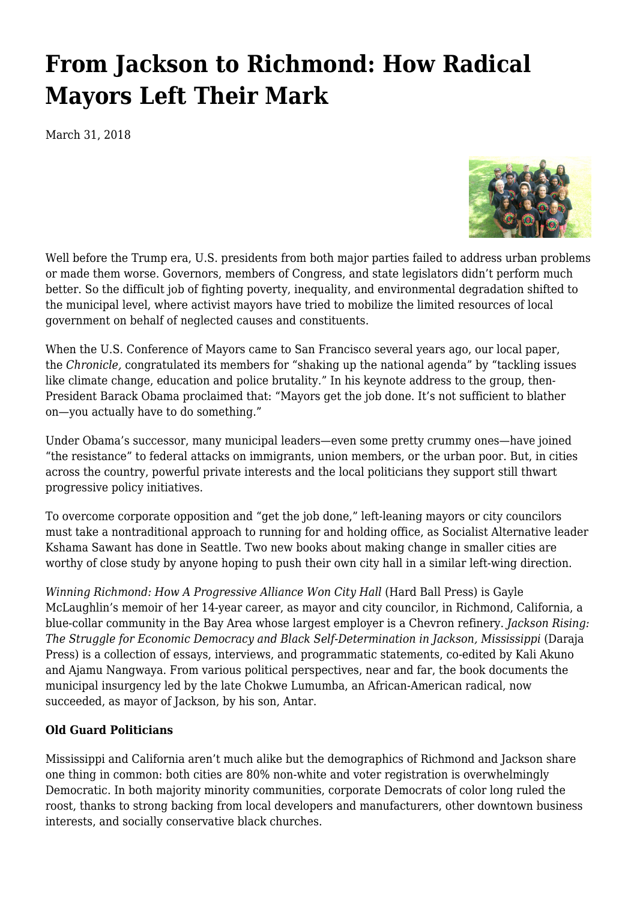## **[From Jackson to Richmond: How Radical](https://newpol.org/jackson-richmond-how-radical-mayors-left-their-mark/) [Mayors Left Their Mark](https://newpol.org/jackson-richmond-how-radical-mayors-left-their-mark/)**

March 31, 2018



Well before the Trump era, U.S. presidents from both major parties failed to address urban problems or made them worse. Governors, members of Congress, and state legislators didn't perform much better. So the difficult job of fighting poverty, inequality, and environmental degradation shifted to the municipal level, where activist mayors have tried to mobilize the limited resources of local government on behalf of neglected causes and constituents.

When the U.S. Conference of Mayors came to San Francisco several years ago, our local paper, the *Chronicle,* congratulated its members for "shaking up the national agenda" by "tackling issues like climate change, education and police brutality." In his keynote address to the group, then-President Barack Obama proclaimed that: "Mayors get the job done. It's not sufficient to blather on—you actually have to do something."

Under Obama's successor, many municipal leaders—even some pretty crummy ones—have joined "the resistance" to federal attacks on immigrants, union members, or the urban poor. But, in cities across the country, powerful private interests and the local politicians they support still thwart progressive policy initiatives.

To overcome corporate opposition and "get the job done," left-leaning mayors or city councilors must take a nontraditional approach to running for and holding office, as Socialist Alternative leader Kshama Sawant has done in Seattle. Two new books about making change in smaller cities are worthy of close study by anyone hoping to push their own city hall in a similar left-wing direction.

*Winning Richmond: How A Progressive Alliance Won City Hall* (Hard Ball Press) is Gayle McLaughlin's memoir of her 14-year career, as mayor and city councilor, in Richmond, California, a blue-collar community in the Bay Area whose largest employer is a Chevron refinery. *Jackson Rising: The Struggle for Economic Democracy and Black Self-Determination in Jackson, Mississippi* (Daraja Press) is a collection of essays, interviews, and programmatic statements, co-edited by Kali Akuno and Ajamu Nangwaya. From various political perspectives, near and far, the book documents the municipal insurgency led by the late Chokwe Lumumba, an African-American radical, now succeeded, as mayor of Jackson, by his son, Antar.

## **Old Guard Politicians**

Mississippi and California aren't much alike but the demographics of Richmond and Jackson share one thing in common: both cities are 80% non-white and voter registration is overwhelmingly Democratic. In both majority minority communities, corporate Democrats of color long ruled the roost, thanks to strong backing from local developers and manufacturers, other downtown business interests, and socially conservative black churches.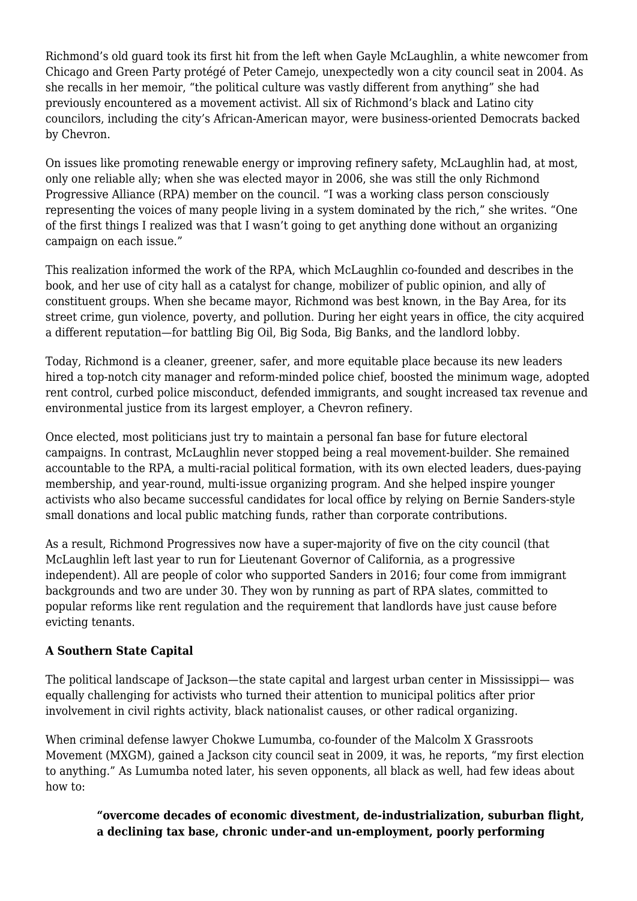Richmond's old guard took its first hit from the left when Gayle McLaughlin, a white newcomer from Chicago and Green Party protégé of Peter Camejo, unexpectedly won a city council seat in 2004. As she recalls in her memoir, "the political culture was vastly different from anything" she had previously encountered as a movement activist. All six of Richmond's black and Latino city councilors, including the city's African-American mayor, were business-oriented Democrats backed by Chevron.

On issues like promoting renewable energy or improving refinery safety, McLaughlin had, at most, only one reliable ally; when she was elected mayor in 2006, she was still the only Richmond Progressive Alliance (RPA) member on the council. "I was a working class person consciously representing the voices of many people living in a system dominated by the rich," she writes. "One of the first things I realized was that I wasn't going to get anything done without an organizing campaign on each issue."

This realization informed the work of the RPA, which McLaughlin co-founded and describes in the book, and her use of city hall as a catalyst for change, mobilizer of public opinion, and ally of constituent groups. When she became mayor, Richmond was best known, in the Bay Area, for its street crime, gun violence, poverty, and pollution. During her eight years in office, the city acquired a different reputation—for battling Big Oil, Big Soda, Big Banks, and the landlord lobby.

Today, Richmond is a cleaner, greener, safer, and more equitable place because its new leaders hired a top-notch city manager and reform-minded police chief, boosted the minimum wage, adopted rent control, curbed police misconduct, defended immigrants, and sought increased tax revenue and environmental justice from its largest employer, a Chevron refinery.

Once elected, most politicians just try to maintain a personal fan base for future electoral campaigns. In contrast, McLaughlin never stopped being a real movement-builder. She remained accountable to the RPA, a multi-racial political formation, with its own elected leaders, dues-paying membership, and year-round, multi-issue organizing program. And she helped inspire younger activists who also became successful candidates for local office by relying on Bernie Sanders-style small donations and local public matching funds, rather than corporate contributions.

As a result, Richmond Progressives now have a super-majority of five on the city council (that McLaughlin left last year to run for Lieutenant Governor of California, as a progressive independent). All are people of color who supported Sanders in 2016; four come from immigrant backgrounds and two are under 30. They won by running as part of RPA slates, committed to popular reforms like rent regulation and the requirement that landlords have just cause before evicting tenants.

## **A Southern State Capital**

The political landscape of Jackson—the state capital and largest urban center in Mississippi— was equally challenging for activists who turned their attention to municipal politics after prior involvement in civil rights activity, black nationalist causes, or other radical organizing.

When criminal defense lawyer Chokwe Lumumba, co-founder of the Malcolm X Grassroots Movement (MXGM), gained a Jackson city council seat in 2009, it was, he reports, "my first election to anything." As Lumumba noted later, his seven opponents, all black as well, had few ideas about how to:

**"overcome decades of economic divestment, de-industrialization, suburban flight, a declining tax base, chronic under-and un-employment, poorly performing**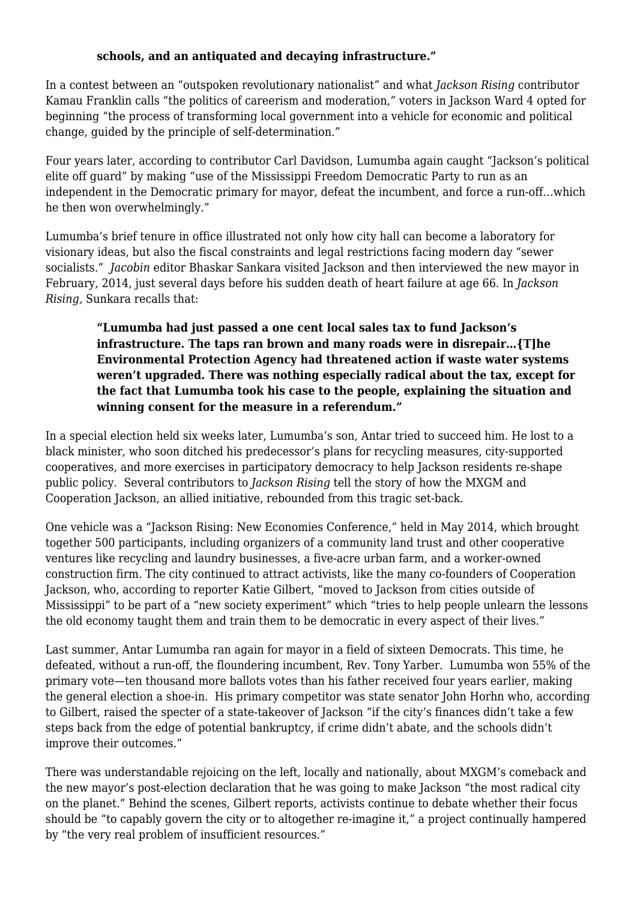## **schools, and an antiquated and decaying infrastructure."**

In a contest between an "outspoken revolutionary nationalist" and what *Jackson Rising* contributor Kamau Franklin calls "the politics of careerism and moderation," voters in Jackson Ward 4 opted for beginning "the process of transforming local government into a vehicle for economic and political change, guided by the principle of self-determination."

Four years later, according to contributor Carl Davidson, Lumumba again caught "Jackson's political elite off guard" by making "use of the Mississippi Freedom Democratic Party to run as an independent in the Democratic primary for mayor, defeat the incumbent, and force a run-off…which he then won overwhelmingly."

Lumumba's brief tenure in office illustrated not only how city hall can become a laboratory for visionary ideas, but also the fiscal constraints and legal restrictions facing modern day "sewer socialists." *Jacobin* editor Bhaskar Sankara visited Jackson and then interviewed the new mayor in February, 2014, just several days before his sudden death of heart failure at age 66. In *Jackson Rising,* Sunkara recalls that:

**"Lumumba had just passed a one cent local sales tax to fund Jackson's infrastructure. The taps ran brown and many roads were in disrepair…{T]he Environmental Protection Agency had threatened action if waste water systems weren't upgraded. There was nothing especially radical about the tax, except for the fact that Lumumba took his case to the people, explaining the situation and winning consent for the measure in a referendum."**

In a special election held six weeks later, Lumumba's son, Antar tried to succeed him. He lost to a black minister, who soon ditched his predecessor's plans for recycling measures, city-supported cooperatives, and more exercises in participatory democracy to help Jackson residents re-shape public policy. Several contributors to *Jackson Rising* tell the story of how the MXGM and Cooperation Jackson, an allied initiative, rebounded from this tragic set-back.

One vehicle was a *"*Jackson Rising: New Economies Conference," held in May 2014, which brought together 500 participants, including organizers of a community land trust and other cooperative ventures like recycling and laundry businesses, a five-acre urban farm, and a worker-owned construction firm. The city continued to attract activists, like the many co-founders of Cooperation Jackson, who, according to reporter Katie Gilbert, "moved to Jackson from cities outside of Mississippi" to be part of a "new society experiment" which "tries to help people unlearn the lessons the old economy taught them and train them to be democratic in every aspect of their lives."

Last summer, Antar Lumumba ran again for mayor in a field of sixteen Democrats. This time, he defeated, without a run-off, the floundering incumbent, Rev. Tony Yarber. Lumumba won 55% of the primary vote—ten thousand more ballots votes than his father received four years earlier, making the general election a shoe-in. His primary competitor was state senator John Horhn who, according to Gilbert, raised the specter of a state-takeover of Jackson "if the city's finances didn't take a few steps back from the edge of potential bankruptcy, if crime didn't abate, and the schools didn't improve their outcomes."

There was understandable rejoicing on the left, locally and nationally, about MXGM's comeback and the new mayor's post-election declaration that he was going to make Jackson "the most radical city on the planet." Behind the scenes, Gilbert reports, activists continue to debate whether their focus should be "to capably govern the city or to altogether re-imagine it," a project continually hampered by "the very real problem of insufficient resources."